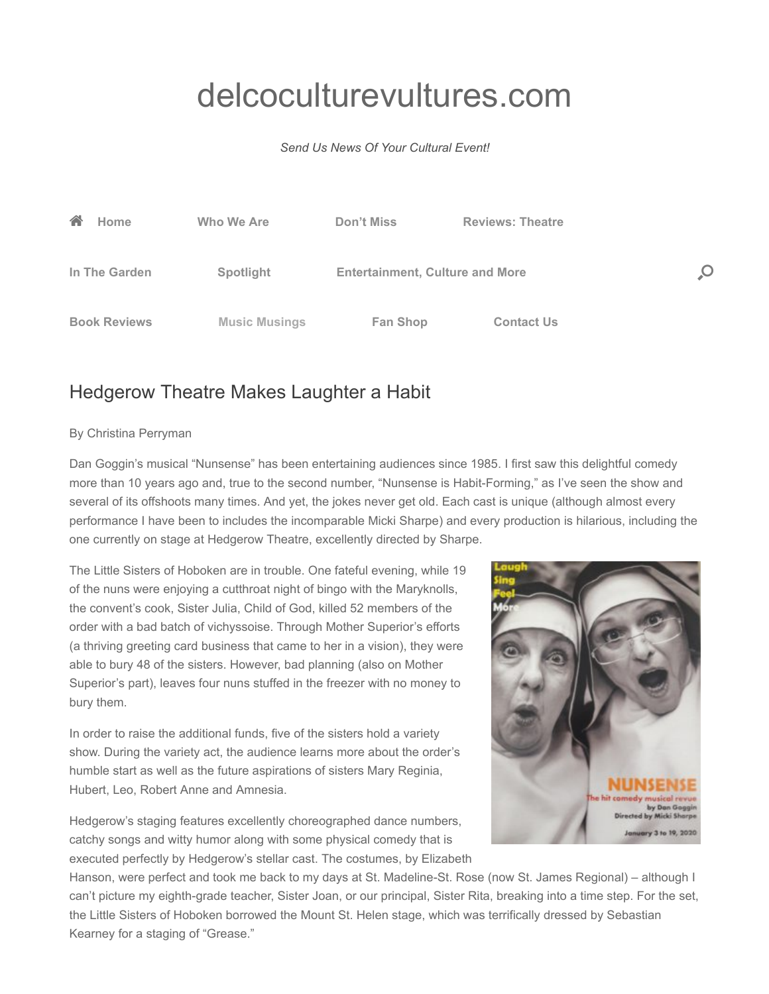## [delcoculturevultures.com](http://delcoculturevultures.com/)

## *Send Us News Of Your Cultural Event!*



## Hedgerow Theatre Makes Laughter a Habit

## By Christina Perryman

Dan Goggin's musical "Nunsense" has been entertaining audiences since 1985. I first saw this delightful comedy more than 10 years ago and, true to the second number, "Nunsense is Habit-Forming," as I've seen the show and several of its offshoots many times. And yet, the jokes never get old. Each cast is unique (although almost every performance I have been to includes the incomparable Micki Sharpe) and every production is hilarious, including the one currently on stage at Hedgerow Theatre, excellently directed by Sharpe.

The Little Sisters of Hoboken are in trouble. One fateful evening, while 19 of the nuns were enjoying a cutthroat night of bingo with the Maryknolls, the convent's cook, Sister Julia, Child of God, killed 52 members of the order with a bad batch of vichyssoise. Through Mother Superior's efforts (a thriving greeting card business that came to her in a vision), they were able to bury 48 of the sisters. However, bad planning (also on Mother Superior's part), leaves four nuns stuffed in the freezer with no money to bury them.

In order to raise the additional funds, five of the sisters hold a variety show. During the variety act, the audience learns more about the order's humble start as well as the future aspirations of sisters Mary Reginia, Hubert, Leo, Robert Anne and Amnesia.

Hedgerow's staging features excellently choreographed dance numbers, catchy songs and witty humor along with some physical comedy that is executed perfectly by Hedgerow's stellar cast. The costumes, by Elizabeth



Hanson, were perfect and took me back to my days at St. Madeline-St. Rose (now St. James Regional) – although I can't picture my eighth-grade teacher, Sister Joan, or our principal, Sister Rita, breaking into a time step. For the set, the Little Sisters of Hoboken borrowed the Mount St. Helen stage, which was terrifically dressed by Sebastian Kearney for a staging of "Grease."